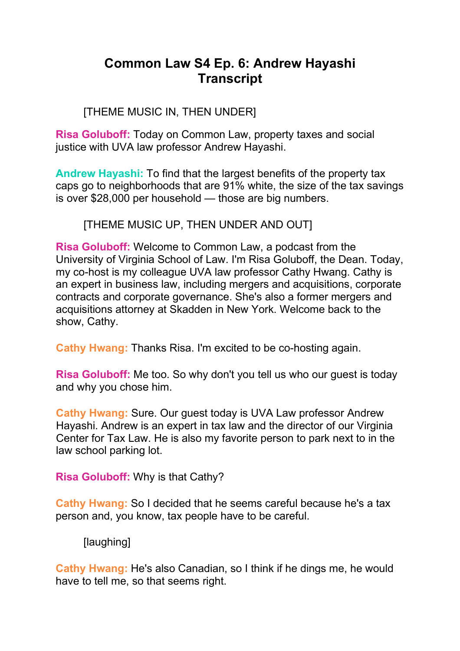# **Common Law S4 Ep. 6: Andrew Hayashi Transcript**

# [THEME MUSIC IN, THEN UNDER]

**Risa Goluboff:** Today on Common Law, property taxes and social justice with UVA law professor Andrew Hayashi.

**Andrew Hayashi:** To find that the largest benefits of the property tax caps go to neighborhoods that are 91% white, the size of the tax savings is over \$28,000 per household — those are big numbers.

[THEME MUSIC UP, THEN UNDER AND OUT]

**Risa Goluboff:** Welcome to Common Law, a podcast from the University of Virginia School of Law. I'm Risa Goluboff, the Dean. Today, my co-host is my colleague UVA law professor Cathy Hwang. Cathy is an expert in business law, including mergers and acquisitions, corporate contracts and corporate governance. She's also a former mergers and acquisitions attorney at Skadden in New York. Welcome back to the show, Cathy.

**Cathy Hwang:** Thanks Risa. I'm excited to be co-hosting again.

**Risa Goluboff:** Me too. So why don't you tell us who our guest is today and why you chose him.

**Cathy Hwang:** Sure. Our guest today is UVA Law professor Andrew Hayashi. Andrew is an expert in tax law and the director of our Virginia Center for Tax Law. He is also my favorite person to park next to in the law school parking lot.

**Risa Goluboff:** Why is that Cathy?

**Cathy Hwang:** So I decided that he seems careful because he's a tax person and, you know, tax people have to be careful.

[laughing]

**Cathy Hwang:** He's also Canadian, so I think if he dings me, he would have to tell me, so that seems right.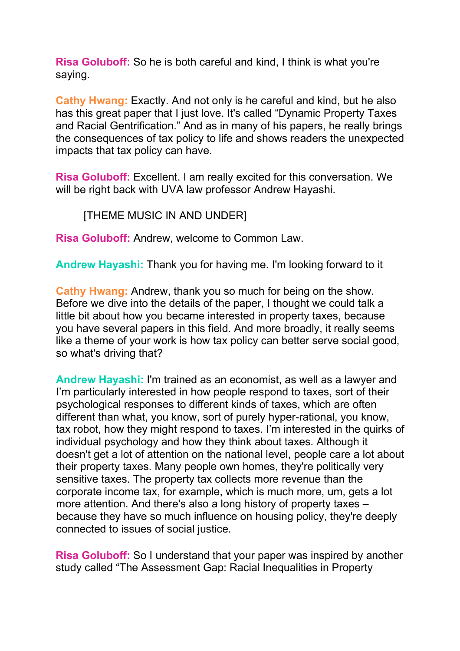**Risa Goluboff:** So he is both careful and kind, I think is what you're saying.

**Cathy Hwang:** Exactly. And not only is he careful and kind, but he also has this great paper that I just love. It's called "Dynamic Property Taxes and Racial Gentrification." And as in many of his papers, he really brings the consequences of tax policy to life and shows readers the unexpected impacts that tax policy can have.

**Risa Goluboff:** Excellent. I am really excited for this conversation. We will be right back with UVA law professor Andrew Hayashi.

[THEME MUSIC IN AND UNDER]

**Risa Goluboff:** Andrew, welcome to Common Law.

**Andrew Hayashi:** Thank you for having me. I'm looking forward to it

**Cathy Hwang:** Andrew, thank you so much for being on the show. Before we dive into the details of the paper, I thought we could talk a little bit about how you became interested in property taxes, because you have several papers in this field. And more broadly, it really seems like a theme of your work is how tax policy can better serve social good, so what's driving that?

**Andrew Hayashi:** I'm trained as an economist, as well as a lawyer and I'm particularly interested in how people respond to taxes, sort of their psychological responses to different kinds of taxes, which are often different than what, you know, sort of purely hyper-rational, you know, tax robot, how they might respond to taxes. I'm interested in the quirks of individual psychology and how they think about taxes. Although it doesn't get a lot of attention on the national level, people care a lot about their property taxes. Many people own homes, they're politically very sensitive taxes. The property tax collects more revenue than the corporate income tax, for example, which is much more, um, gets a lot more attention. And there's also a long history of property taxes – because they have so much influence on housing policy, they're deeply connected to issues of social justice.

**Risa Goluboff:** So I understand that your paper was inspired by another study called "The Assessment Gap: Racial Inequalities in Property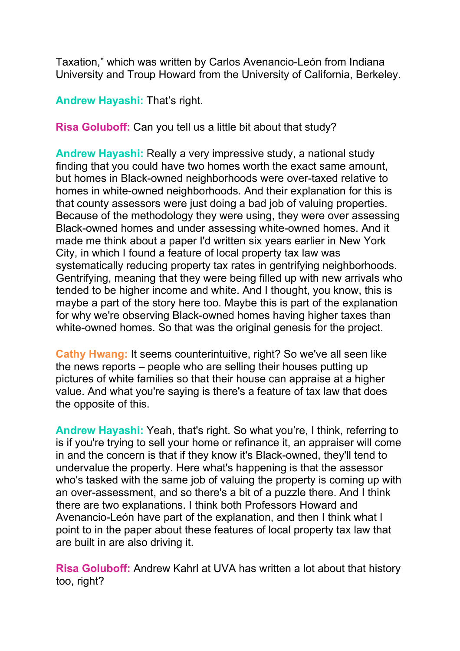Taxation," which was written by Carlos Avenancio-León from Indiana University and Troup Howard from the University of California, Berkeley.

**Andrew Hayashi:** That's right.

**Risa Goluboff:** Can you tell us a little bit about that study?

**Andrew Hayashi:** Really a very impressive study, a national study finding that you could have two homes worth the exact same amount, but homes in Black-owned neighborhoods were over-taxed relative to homes in white-owned neighborhoods. And their explanation for this is that county assessors were just doing a bad job of valuing properties. Because of the methodology they were using, they were over assessing Black-owned homes and under assessing white-owned homes. And it made me think about a paper I'd written six years earlier in New York City, in which I found a feature of local property tax law was systematically reducing property tax rates in gentrifying neighborhoods. Gentrifying, meaning that they were being filled up with new arrivals who tended to be higher income and white. And I thought, you know, this is maybe a part of the story here too. Maybe this is part of the explanation for why we're observing Black-owned homes having higher taxes than white-owned homes. So that was the original genesis for the project.

**Cathy Hwang:** It seems counterintuitive, right? So we've all seen like the news reports – people who are selling their houses putting up pictures of white families so that their house can appraise at a higher value. And what you're saying is there's a feature of tax law that does the opposite of this.

**Andrew Hayashi:** Yeah, that's right. So what you're, I think, referring to is if you're trying to sell your home or refinance it, an appraiser will come in and the concern is that if they know it's Black-owned, they'll tend to undervalue the property. Here what's happening is that the assessor who's tasked with the same job of valuing the property is coming up with an over-assessment, and so there's a bit of a puzzle there. And I think there are two explanations. I think both Professors Howard and Avenancio-León have part of the explanation, and then I think what I point to in the paper about these features of local property tax law that are built in are also driving it.

**Risa Goluboff:** Andrew Kahrl at UVA has written a lot about that history too, right?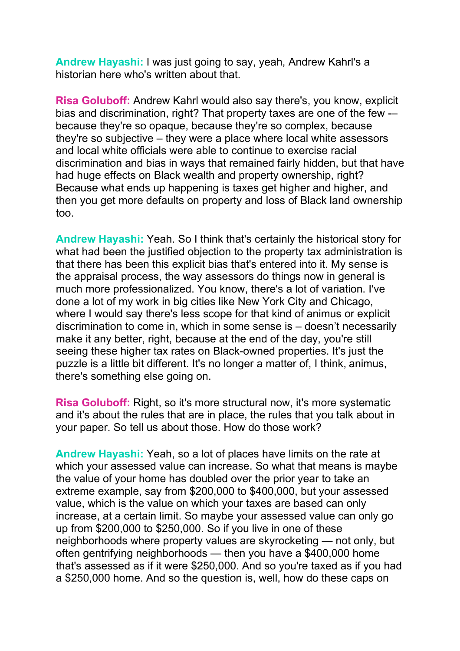**Andrew Hayashi:** I was just going to say, yeah, Andrew Kahrl's a historian here who's written about that.

**Risa Goluboff:** Andrew Kahrl would also say there's, you know, explicit bias and discrimination, right? That property taxes are one of the few -– because they're so opaque, because they're so complex, because they're so subjective – they were a place where local white assessors and local white officials were able to continue to exercise racial discrimination and bias in ways that remained fairly hidden, but that have had huge effects on Black wealth and property ownership, right? Because what ends up happening is taxes get higher and higher, and then you get more defaults on property and loss of Black land ownership too.

**Andrew Hayashi:** Yeah. So I think that's certainly the historical story for what had been the justified objection to the property tax administration is that there has been this explicit bias that's entered into it. My sense is the appraisal process, the way assessors do things now in general is much more professionalized. You know, there's a lot of variation. I've done a lot of my work in big cities like New York City and Chicago, where I would say there's less scope for that kind of animus or explicit discrimination to come in, which in some sense is – doesn't necessarily make it any better, right, because at the end of the day, you're still seeing these higher tax rates on Black-owned properties. It's just the puzzle is a little bit different. It's no longer a matter of, I think, animus, there's something else going on.

**Risa Goluboff:** Right, so it's more structural now, it's more systematic and it's about the rules that are in place, the rules that you talk about in your paper. So tell us about those. How do those work?

**Andrew Hayashi:** Yeah, so a lot of places have limits on the rate at which your assessed value can increase. So what that means is maybe the value of your home has doubled over the prior year to take an extreme example, say from \$200,000 to \$400,000, but your assessed value, which is the value on which your taxes are based can only increase, at a certain limit. So maybe your assessed value can only go up from \$200,000 to \$250,000. So if you live in one of these neighborhoods where property values are skyrocketing — not only, but often gentrifying neighborhoods — then you have a \$400,000 home that's assessed as if it were \$250,000. And so you're taxed as if you had a \$250,000 home. And so the question is, well, how do these caps on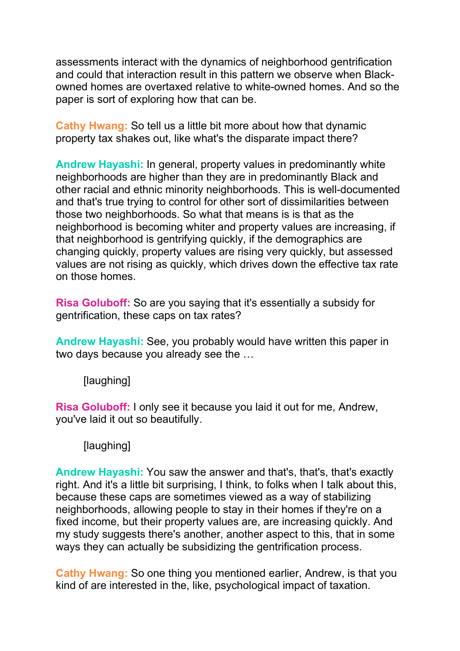assessments interact with the dynamics of neighborhood gentrification and could that interaction result in this pattern we observe when Blackowned homes are overtaxed relative to white-owned homes. And so the paper is sort of exploring how that can be.

**Cathy Hwang:** So tell us a little bit more about how that dynamic property tax shakes out, like what's the disparate impact there?

**Andrew Hayashi:** In general, property values in predominantly white neighborhoods are higher than they are in predominantly Black and other racial and ethnic minority neighborhoods. This is well-documented and that's true trying to control for other sort of dissimilarities between those two neighborhoods. So what that means is is that as the neighborhood is becoming whiter and property values are increasing, if that neighborhood is gentrifying quickly, if the demographics are changing quickly, property values are rising very quickly, but assessed values are not rising as quickly, which drives down the effective tax rate on those homes.

**Risa Goluboff:** So are you saying that it's essentially a subsidy for gentrification, these caps on tax rates?

**Andrew Hayashi:** See, you probably would have written this paper in two days because you already see the …

[laughing]

**Risa Goluboff:** I only see it because you laid it out for me, Andrew, you've laid it out so beautifully.

[laughing]

**Andrew Hayashi:** You saw the answer and that's, that's, that's exactly right. And it's a little bit surprising, I think, to folks when I talk about this, because these caps are sometimes viewed as a way of stabilizing neighborhoods, allowing people to stay in their homes if they're on a fixed income, but their property values are, are increasing quickly. And my study suggests there's another, another aspect to this, that in some ways they can actually be subsidizing the gentrification process.

**Cathy Hwang:** So one thing you mentioned earlier, Andrew, is that you kind of are interested in the, like, psychological impact of taxation.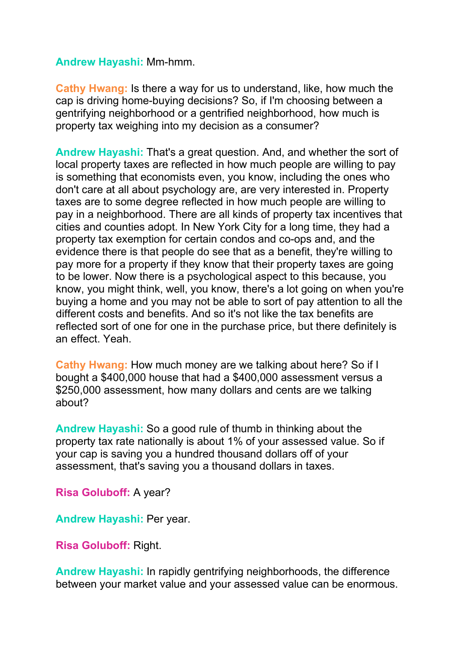#### **Andrew Hayashi:** Mm-hmm.

**Cathy Hwang:** Is there a way for us to understand, like, how much the cap is driving home-buying decisions? So, if I'm choosing between a gentrifying neighborhood or a gentrified neighborhood, how much is property tax weighing into my decision as a consumer?

**Andrew Hayashi:** That's a great question. And, and whether the sort of local property taxes are reflected in how much people are willing to pay is something that economists even, you know, including the ones who don't care at all about psychology are, are very interested in. Property taxes are to some degree reflected in how much people are willing to pay in a neighborhood. There are all kinds of property tax incentives that cities and counties adopt. In New York City for a long time, they had a property tax exemption for certain condos and co-ops and, and the evidence there is that people do see that as a benefit, they're willing to pay more for a property if they know that their property taxes are going to be lower. Now there is a psychological aspect to this because, you know, you might think, well, you know, there's a lot going on when you're buying a home and you may not be able to sort of pay attention to all the different costs and benefits. And so it's not like the tax benefits are reflected sort of one for one in the purchase price, but there definitely is an effect. Yeah.

**Cathy Hwang:** How much money are we talking about here? So if I bought a \$400,000 house that had a \$400,000 assessment versus a \$250,000 assessment, how many dollars and cents are we talking about?

**Andrew Hayashi:** So a good rule of thumb in thinking about the property tax rate nationally is about 1% of your assessed value. So if your cap is saving you a hundred thousand dollars off of your assessment, that's saving you a thousand dollars in taxes.

**Risa Goluboff:** A year?

**Andrew Hayashi:** Per year.

**Risa Goluboff:** Right.

**Andrew Hayashi:** In rapidly gentrifying neighborhoods, the difference between your market value and your assessed value can be enormous.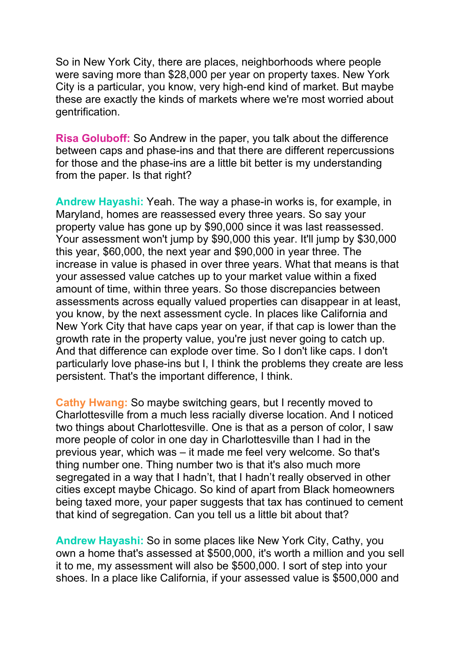So in New York City, there are places, neighborhoods where people were saving more than \$28,000 per year on property taxes. New York City is a particular, you know, very high-end kind of market. But maybe these are exactly the kinds of markets where we're most worried about gentrification.

**Risa Goluboff:** So Andrew in the paper, you talk about the difference between caps and phase-ins and that there are different repercussions for those and the phase-ins are a little bit better is my understanding from the paper. Is that right?

**Andrew Hayashi:** Yeah. The way a phase-in works is, for example, in Maryland, homes are reassessed every three years. So say your property value has gone up by \$90,000 since it was last reassessed. Your assessment won't jump by \$90,000 this year. It'll jump by \$30,000 this year, \$60,000, the next year and \$90,000 in year three. The increase in value is phased in over three years. What that means is that your assessed value catches up to your market value within a fixed amount of time, within three years. So those discrepancies between assessments across equally valued properties can disappear in at least, you know, by the next assessment cycle. In places like California and New York City that have caps year on year, if that cap is lower than the growth rate in the property value, you're just never going to catch up. And that difference can explode over time. So I don't like caps. I don't particularly love phase-ins but I, I think the problems they create are less persistent. That's the important difference, I think.

**Cathy Hwang:** So maybe switching gears, but I recently moved to Charlottesville from a much less racially diverse location. And I noticed two things about Charlottesville. One is that as a person of color, I saw more people of color in one day in Charlottesville than I had in the previous year, which was – it made me feel very welcome. So that's thing number one. Thing number two is that it's also much more segregated in a way that I hadn't, that I hadn't really observed in other cities except maybe Chicago. So kind of apart from Black homeowners being taxed more, your paper suggests that tax has continued to cement that kind of segregation. Can you tell us a little bit about that?

**Andrew Hayashi:** So in some places like New York City, Cathy, you own a home that's assessed at \$500,000, it's worth a million and you sell it to me, my assessment will also be \$500,000. I sort of step into your shoes. In a place like California, if your assessed value is \$500,000 and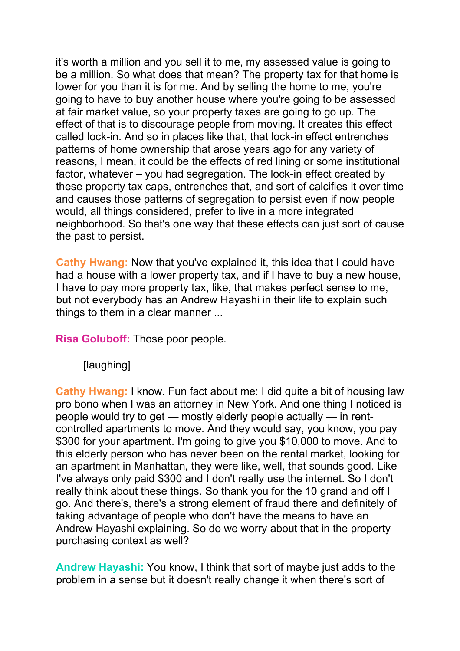it's worth a million and you sell it to me, my assessed value is going to be a million. So what does that mean? The property tax for that home is lower for you than it is for me. And by selling the home to me, you're going to have to buy another house where you're going to be assessed at fair market value, so your property taxes are going to go up. The effect of that is to discourage people from moving. It creates this effect called lock-in. And so in places like that, that lock-in effect entrenches patterns of home ownership that arose years ago for any variety of reasons, I mean, it could be the effects of red lining or some institutional factor, whatever – you had segregation. The lock-in effect created by these property tax caps, entrenches that, and sort of calcifies it over time and causes those patterns of segregation to persist even if now people would, all things considered, prefer to live in a more integrated neighborhood. So that's one way that these effects can just sort of cause the past to persist.

**Cathy Hwang:** Now that you've explained it, this idea that I could have had a house with a lower property tax, and if I have to buy a new house, I have to pay more property tax, like, that makes perfect sense to me, but not everybody has an Andrew Hayashi in their life to explain such things to them in a clear manner ...

**Risa Goluboff:** Those poor people.

[laughing]

**Cathy Hwang:** I know. Fun fact about me: I did quite a bit of housing law pro bono when I was an attorney in New York. And one thing I noticed is people would try to get — mostly elderly people actually — in rentcontrolled apartments to move. And they would say, you know, you pay \$300 for your apartment. I'm going to give you \$10,000 to move. And to this elderly person who has never been on the rental market, looking for an apartment in Manhattan, they were like, well, that sounds good. Like I've always only paid \$300 and I don't really use the internet. So I don't really think about these things. So thank you for the 10 grand and off I go. And there's, there's a strong element of fraud there and definitely of taking advantage of people who don't have the means to have an Andrew Hayashi explaining. So do we worry about that in the property purchasing context as well?

**Andrew Hayashi:** You know, I think that sort of maybe just adds to the problem in a sense but it doesn't really change it when there's sort of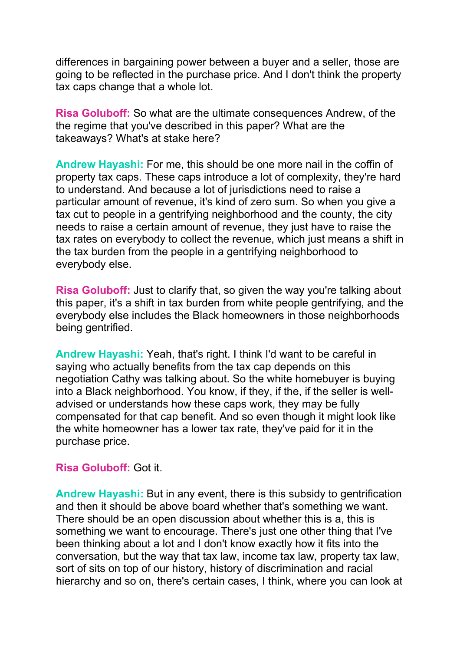differences in bargaining power between a buyer and a seller, those are going to be reflected in the purchase price. And I don't think the property tax caps change that a whole lot.

**Risa Goluboff:** So what are the ultimate consequences Andrew, of the the regime that you've described in this paper? What are the takeaways? What's at stake here?

**Andrew Hayashi:** For me, this should be one more nail in the coffin of property tax caps. These caps introduce a lot of complexity, they're hard to understand. And because a lot of jurisdictions need to raise a particular amount of revenue, it's kind of zero sum. So when you give a tax cut to people in a gentrifying neighborhood and the county, the city needs to raise a certain amount of revenue, they just have to raise the tax rates on everybody to collect the revenue, which just means a shift in the tax burden from the people in a gentrifying neighborhood to everybody else.

**Risa Goluboff:** Just to clarify that, so given the way you're talking about this paper, it's a shift in tax burden from white people gentrifying, and the everybody else includes the Black homeowners in those neighborhoods being gentrified.

**Andrew Hayashi:** Yeah, that's right. I think I'd want to be careful in saying who actually benefits from the tax cap depends on this negotiation Cathy was talking about. So the white homebuyer is buying into a Black neighborhood. You know, if they, if the, if the seller is welladvised or understands how these caps work, they may be fully compensated for that cap benefit. And so even though it might look like the white homeowner has a lower tax rate, they've paid for it in the purchase price.

#### **Risa Goluboff:** Got it.

**Andrew Hayashi:** But in any event, there is this subsidy to gentrification and then it should be above board whether that's something we want. There should be an open discussion about whether this is a, this is something we want to encourage. There's just one other thing that I've been thinking about a lot and I don't know exactly how it fits into the conversation, but the way that tax law, income tax law, property tax law, sort of sits on top of our history, history of discrimination and racial hierarchy and so on, there's certain cases, I think, where you can look at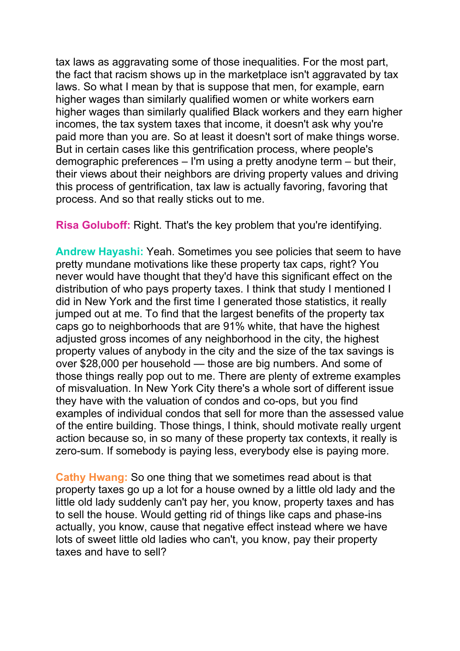tax laws as aggravating some of those inequalities. For the most part, the fact that racism shows up in the marketplace isn't aggravated by tax laws. So what I mean by that is suppose that men, for example, earn higher wages than similarly qualified women or white workers earn higher wages than similarly qualified Black workers and they earn higher incomes, the tax system taxes that income, it doesn't ask why you're paid more than you are. So at least it doesn't sort of make things worse. But in certain cases like this gentrification process, where people's demographic preferences – I'm using a pretty anodyne term – but their, their views about their neighbors are driving property values and driving this process of gentrification, tax law is actually favoring, favoring that process. And so that really sticks out to me.

**Risa Goluboff:** Right. That's the key problem that you're identifying.

**Andrew Hayashi:** Yeah. Sometimes you see policies that seem to have pretty mundane motivations like these property tax caps, right? You never would have thought that they'd have this significant effect on the distribution of who pays property taxes. I think that study I mentioned I did in New York and the first time I generated those statistics, it really jumped out at me. To find that the largest benefits of the property tax caps go to neighborhoods that are 91% white, that have the highest adjusted gross incomes of any neighborhood in the city, the highest property values of anybody in the city and the size of the tax savings is over \$28,000 per household — those are big numbers. And some of those things really pop out to me. There are plenty of extreme examples of misvaluation. In New York City there's a whole sort of different issue they have with the valuation of condos and co-ops, but you find examples of individual condos that sell for more than the assessed value of the entire building. Those things, I think, should motivate really urgent action because so, in so many of these property tax contexts, it really is zero-sum. If somebody is paying less, everybody else is paying more.

**Cathy Hwang:** So one thing that we sometimes read about is that property taxes go up a lot for a house owned by a little old lady and the little old lady suddenly can't pay her, you know, property taxes and has to sell the house. Would getting rid of things like caps and phase-ins actually, you know, cause that negative effect instead where we have lots of sweet little old ladies who can't, you know, pay their property taxes and have to sell?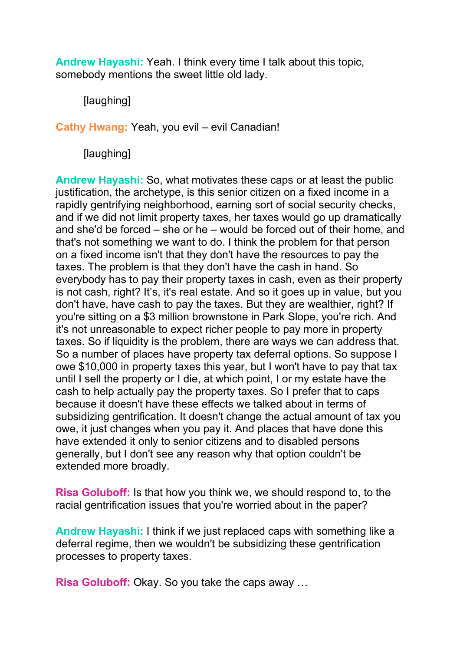**Andrew Hayashi:** Yeah. I think every time I talk about this topic, somebody mentions the sweet little old lady.

[laughing]

**Cathy Hwang:** Yeah, you evil – evil Canadian!

[laughing]

**Andrew Hayashi:** So, what motivates these caps or at least the public justification, the archetype, is this senior citizen on a fixed income in a rapidly gentrifying neighborhood, earning sort of social security checks, and if we did not limit property taxes, her taxes would go up dramatically and she'd be forced – she or he – would be forced out of their home, and that's not something we want to do. I think the problem for that person on a fixed income isn't that they don't have the resources to pay the taxes. The problem is that they don't have the cash in hand. So everybody has to pay their property taxes in cash, even as their property is not cash, right? It's, it's real estate. And so it goes up in value, but you don't have, have cash to pay the taxes. But they are wealthier, right? If you're sitting on a \$3 million brownstone in Park Slope, you're rich. And it's not unreasonable to expect richer people to pay more in property taxes. So if liquidity is the problem, there are ways we can address that. So a number of places have property tax deferral options. So suppose I owe \$10,000 in property taxes this year, but I won't have to pay that tax until I sell the property or I die, at which point, I or my estate have the cash to help actually pay the property taxes. So I prefer that to caps because it doesn't have these effects we talked about in terms of subsidizing gentrification. It doesn't change the actual amount of tax you owe, it just changes when you pay it. And places that have done this have extended it only to senior citizens and to disabled persons generally, but I don't see any reason why that option couldn't be extended more broadly.

**Risa Goluboff:** Is that how you think we, we should respond to, to the racial gentrification issues that you're worried about in the paper?

**Andrew Hayashi:** I think if we just replaced caps with something like a deferral regime, then we wouldn't be subsidizing these gentrification processes to property taxes.

**Risa Goluboff:** Okay. So you take the caps away …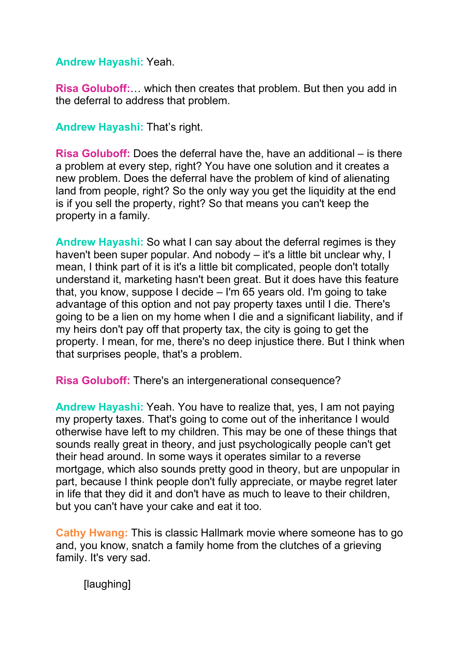#### **Andrew Hayashi:** Yeah.

**Risa Goluboff:**… which then creates that problem. But then you add in the deferral to address that problem.

**Andrew Hayashi:** That's right.

**Risa Goluboff:** Does the deferral have the, have an additional – is there a problem at every step, right? You have one solution and it creates a new problem. Does the deferral have the problem of kind of alienating land from people, right? So the only way you get the liquidity at the end is if you sell the property, right? So that means you can't keep the property in a family.

**Andrew Hayashi:** So what I can say about the deferral regimes is they haven't been super popular. And nobody – it's a little bit unclear why, I mean, I think part of it is it's a little bit complicated, people don't totally understand it, marketing hasn't been great. But it does have this feature that, you know, suppose I decide – I'm 65 years old. I'm going to take advantage of this option and not pay property taxes until I die. There's going to be a lien on my home when I die and a significant liability, and if my heirs don't pay off that property tax, the city is going to get the property. I mean, for me, there's no deep injustice there. But I think when that surprises people, that's a problem.

**Risa Goluboff:** There's an intergenerational consequence?

**Andrew Hayashi:** Yeah. You have to realize that, yes, I am not paying my property taxes. That's going to come out of the inheritance I would otherwise have left to my children. This may be one of these things that sounds really great in theory, and just psychologically people can't get their head around. In some ways it operates similar to a reverse mortgage, which also sounds pretty good in theory, but are unpopular in part, because I think people don't fully appreciate, or maybe regret later in life that they did it and don't have as much to leave to their children, but you can't have your cake and eat it too.

**Cathy Hwang:** This is classic Hallmark movie where someone has to go and, you know, snatch a family home from the clutches of a grieving family. It's very sad.

[laughing]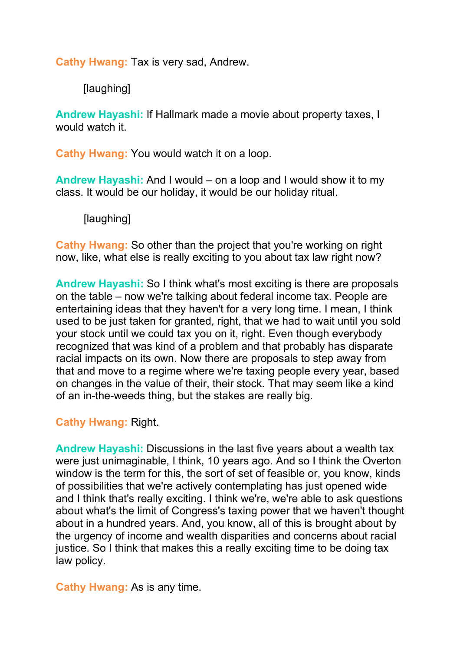**Cathy Hwang:** Tax is very sad, Andrew.

[laughing]

**Andrew Hayashi:** If Hallmark made a movie about property taxes, I would watch it.

**Cathy Hwang:** You would watch it on a loop.

**Andrew Hayashi:** And I would – on a loop and I would show it to my class. It would be our holiday, it would be our holiday ritual.

[laughing]

**Cathy Hwang:** So other than the project that you're working on right now, like, what else is really exciting to you about tax law right now?

**Andrew Hayashi:** So I think what's most exciting is there are proposals on the table – now we're talking about federal income tax. People are entertaining ideas that they haven't for a very long time. I mean, I think used to be just taken for granted, right, that we had to wait until you sold your stock until we could tax you on it, right. Even though everybody recognized that was kind of a problem and that probably has disparate racial impacts on its own. Now there are proposals to step away from that and move to a regime where we're taxing people every year, based on changes in the value of their, their stock. That may seem like a kind of an in-the-weeds thing, but the stakes are really big.

## **Cathy Hwang:** Right.

**Andrew Hayashi:** Discussions in the last five years about a wealth tax were just unimaginable, I think, 10 years ago. And so I think the Overton window is the term for this, the sort of set of feasible or, you know, kinds of possibilities that we're actively contemplating has just opened wide and I think that's really exciting. I think we're, we're able to ask questions about what's the limit of Congress's taxing power that we haven't thought about in a hundred years. And, you know, all of this is brought about by the urgency of income and wealth disparities and concerns about racial justice. So I think that makes this a really exciting time to be doing tax law policy.

**Cathy Hwang:** As is any time.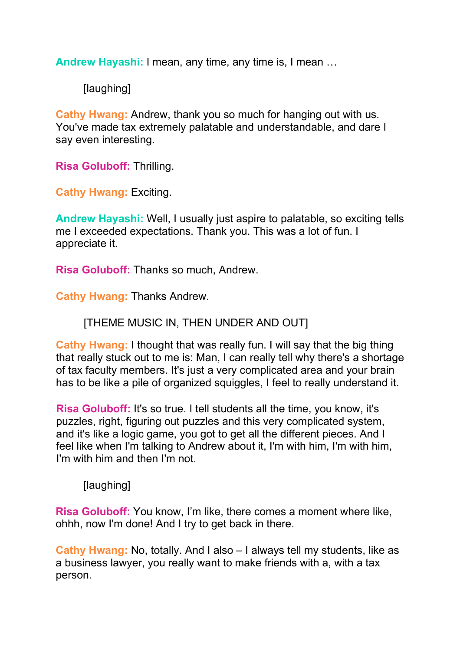**Andrew Hayashi:** I mean, any time, any time is, I mean …

[laughing]

**Cathy Hwang:** Andrew, thank you so much for hanging out with us. You've made tax extremely palatable and understandable, and dare I say even interesting.

**Risa Goluboff:** Thrilling.

**Cathy Hwang:** Exciting.

**Andrew Hayashi:** Well, I usually just aspire to palatable, so exciting tells me I exceeded expectations. Thank you. This was a lot of fun. I appreciate it.

**Risa Goluboff:** Thanks so much, Andrew.

**Cathy Hwang:** Thanks Andrew.

[THEME MUSIC IN, THEN UNDER AND OUT]

**Cathy Hwang:** I thought that was really fun. I will say that the big thing that really stuck out to me is: Man, I can really tell why there's a shortage of tax faculty members. It's just a very complicated area and your brain has to be like a pile of organized squiggles, I feel to really understand it.

**Risa Goluboff:** It's so true. I tell students all the time, you know, it's puzzles, right, figuring out puzzles and this very complicated system, and it's like a logic game, you got to get all the different pieces. And I feel like when I'm talking to Andrew about it, I'm with him, I'm with him, I'm with him and then I'm not.

[laughing]

**Risa Goluboff:** You know, I'm like, there comes a moment where like, ohhh, now I'm done! And I try to get back in there.

**Cathy Hwang:** No, totally. And I also – I always tell my students, like as a business lawyer, you really want to make friends with a, with a tax person.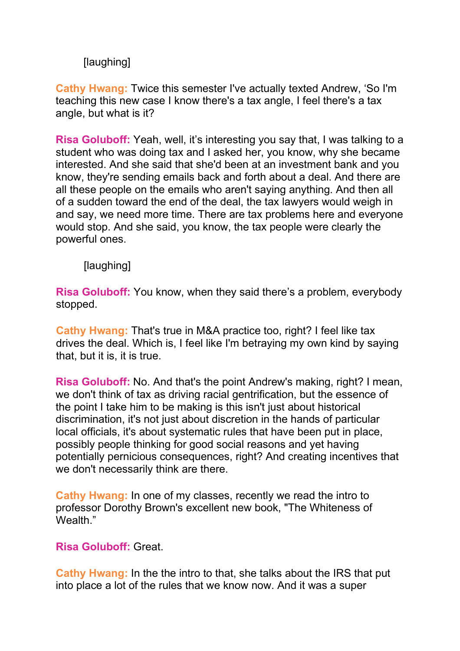# [laughing]

**Cathy Hwang:** Twice this semester I've actually texted Andrew, 'So I'm teaching this new case I know there's a tax angle, I feel there's a tax angle, but what is it?

**Risa Goluboff:** Yeah, well, it's interesting you say that, I was talking to a student who was doing tax and I asked her, you know, why she became interested. And she said that she'd been at an investment bank and you know, they're sending emails back and forth about a deal. And there are all these people on the emails who aren't saying anything. And then all of a sudden toward the end of the deal, the tax lawyers would weigh in and say, we need more time. There are tax problems here and everyone would stop. And she said, you know, the tax people were clearly the powerful ones.

[laughing]

**Risa Goluboff:** You know, when they said there's a problem, everybody stopped.

**Cathy Hwang:** That's true in M&A practice too, right? I feel like tax drives the deal. Which is, I feel like I'm betraying my own kind by saying that, but it is, it is true.

**Risa Goluboff:** No. And that's the point Andrew's making, right? I mean, we don't think of tax as driving racial gentrification, but the essence of the point I take him to be making is this isn't just about historical discrimination, it's not just about discretion in the hands of particular local officials, it's about systematic rules that have been put in place, possibly people thinking for good social reasons and yet having potentially pernicious consequences, right? And creating incentives that we don't necessarily think are there.

**Cathy Hwang:** In one of my classes, recently we read the intro to professor Dorothy Brown's excellent new book, "The Whiteness of Wealth."

## **Risa Goluboff:** Great.

**Cathy Hwang:** In the the intro to that, she talks about the IRS that put into place a lot of the rules that we know now. And it was a super